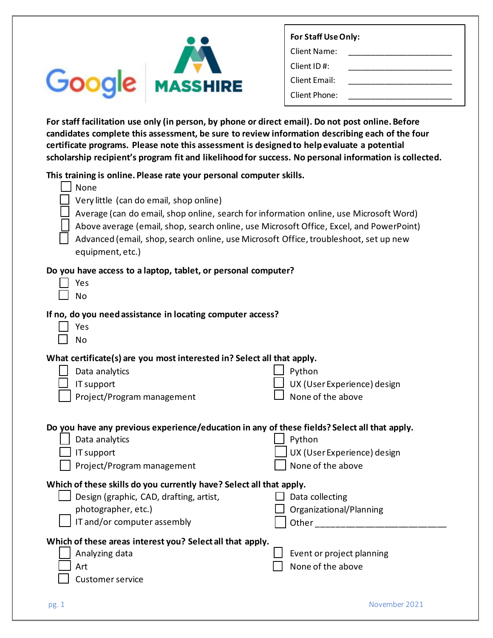| $\neg$ | <b>CIB MASSHIRE</b> |
|--------|---------------------|

| For Staff Use Only: |  |  |
|---------------------|--|--|
| Client Name:        |  |  |
| Client ID#:         |  |  |
| Client Email:       |  |  |
| Client Phone:       |  |  |

**For staff facilitation use only (in person, by phone or direct email). Do not post online. Before candidates complete this assessment, be sure to review information describing each of the four certificate programs. Please note this assessment is designed to help evaluate a potential scholarship recipient's program fit and likelihood for success. No personal information is collected.**

**This training is online. Please rate your personal computer skills.** 

| This training is online. Please rate your personal computer skills.                          |                             |  |
|----------------------------------------------------------------------------------------------|-----------------------------|--|
| None                                                                                         |                             |  |
| Very little (can do email, shop online)                                                      |                             |  |
| Average (can do email, shop online, search for information online, use Microsoft Word)       |                             |  |
| Above average (email, shop, search online, use Microsoft Office, Excel, and PowerPoint)      |                             |  |
| Advanced (email, shop, search online, use Microsoft Office, troubleshoot, set up new         |                             |  |
| equipment, etc.)                                                                             |                             |  |
| Do you have access to a laptop, tablet, or personal computer?                                |                             |  |
| Yes                                                                                          |                             |  |
| No                                                                                           |                             |  |
| If no, do you need assistance in locating computer access?                                   |                             |  |
| Yes                                                                                          |                             |  |
| No                                                                                           |                             |  |
| What certificate(s) are you most interested in? Select all that apply.                       |                             |  |
| Data analytics                                                                               | Python                      |  |
| IT support                                                                                   | UX (User Experience) design |  |
| Project/Program management                                                                   | None of the above           |  |
|                                                                                              |                             |  |
| Do you have any previous experience/education in any of these fields? Select all that apply. |                             |  |
| Data analytics                                                                               | Python                      |  |
| IT support                                                                                   | UX (User Experience) design |  |
| Project/Program management                                                                   | None of the above           |  |
| Which of these skills do you currently have? Select all that apply.                          |                             |  |
| Design (graphic, CAD, drafting, artist,                                                      | Data collecting             |  |
| photographer, etc.)                                                                          | Organizational/Planning     |  |
| IT and/or computer assembly                                                                  | Other                       |  |
|                                                                                              |                             |  |
| Which of these areas interest you? Select all that apply.<br>Analyzing data                  | Event or project planning   |  |
| Art                                                                                          | None of the above           |  |
| <b>Customer service</b>                                                                      |                             |  |
|                                                                                              |                             |  |
|                                                                                              |                             |  |